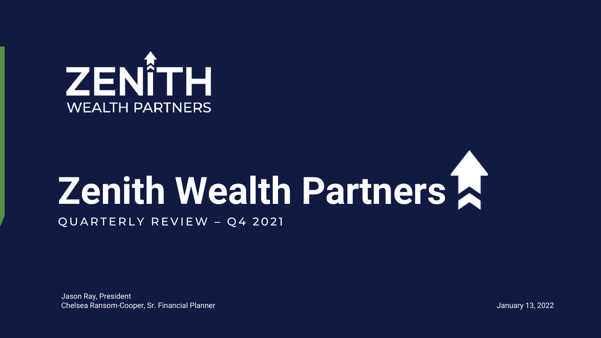

# **Zenith Wealth Partners**

QUARTERLY REVIEW - Q4 2021

Jason Ray, President Chelsea Ransom-Cooper, Sr. Financial Planner January 13, 2022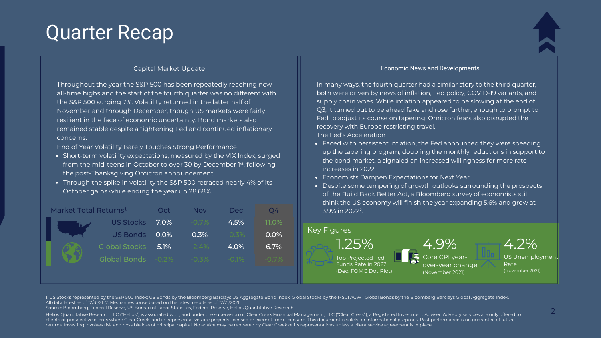# Quarter Recap



Throughout the year the S&P 500 has been repeatedly reaching new all-time highs and the start of the fourth quarter was no different with the S&P 500 surging 7%. Volatility returned in the latter half of November and through December, though US markets were fairly resilient in the face of economic uncertainty. Bond markets also remained stable despite a tightening Fed and continued inflationary concerns.

End of Year Volatility Barely Touches Strong Performance

- Short-term volatility expectations, measured by the VIX Index, surged from the mid-teens in October to over 30 by December 1<sup>st</sup>, following the post-Thanksgiving Omicron announcement.
- Through the spike in volatility the S&P 500 retraced nearly 4% of its October gains while ending the year up 28.68%.



#### Capital Market Update Economic News and Developments

In many ways, the fourth quarter had a similar story to the third quarter, both were driven by news of inflation, Fed policy, COVID-19 variants, and supply chain woes. While inflation appeared to be slowing at the end of Q3, it turned out to be ahead fake and rose further, enough to prompt to Fed to adjust its course on tapering. Omicron fears also disrupted the recovery with Europe restricting travel. The Fed's Acceleration

- Faced with persistent inflation, the Fed announced they were speeding up the tapering program, doubling the monthly reductions in support to the bond market, a signaled an increased willingness for more rate increases in 2022.
- Economists Dampen Expectations for Next Year
- Despite some tempering of growth outlooks surrounding the prospects of the Build Back Better Act, a Bloomberg survey of economists still think the US economy will finish the year expanding 5.6% and grow at 3.9% in 2022².



1. US Stocks represented by the S&P 500 Index; US Bonds by the Bloomberg Barclays US Aggregate Bond Index; Global Stocks by the MSCI ACWI; Global Bonds by the Bloomberg Barclays Global Aggregate Index. All data latest as of 12/31/21 2. Median response based on the latest results as of 12/21/2021.

Source: Bloomberg, Federal Reserve, US Bureau of Labor Statistics, Federal Reserve, Helios Quantitative Research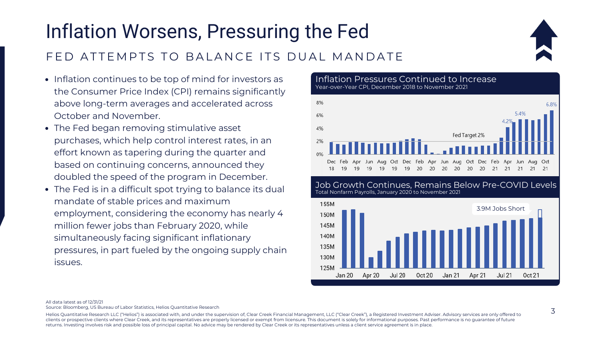# Inflation Worsens, Pressuring the Fed FED ATTEMPTS TO BALANCE ITS DUAL MANDATE



- Inflation continues to be top of mind for investors as the Consumer Price Index (CPI) remains significantly above long-term averages and accelerated across October and November.
- The Fed began removing stimulative asset purchases, which help control interest rates, in an effort known as tapering during the quarter and based on continuing concerns, announced they doubled the speed of the program in December.
- The Fed is in a difficult spot trying to balance its dual mandate of stable prices and maximum employment, considering the economy has nearly 4 million fewer jobs than February 2020, while simultaneously facing significant inflationary pressures, in part fueled by the ongoing supply chain issues.

Inflation Pressures Continued to Increase Year-over-Year CPI, December 2018 to November 2021



#### Job Growth Continues, Remains Below Pre-COVID Levels Total Nonfarm Payrolls, January 2020 to November 2021



#### All data latest as of 12/31/21

Source: Bloomberg, US Bureau of Labor Statistics, Helios Quantitative Research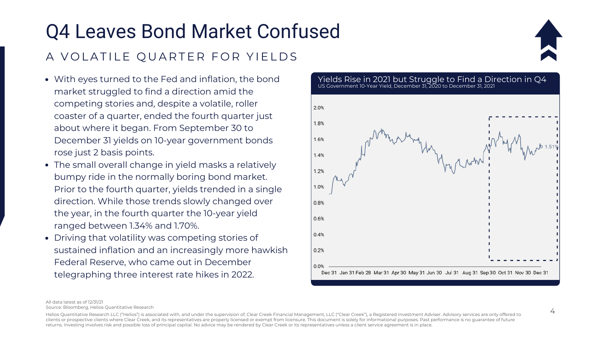# Q4 Leaves Bond Market Confused A VOLATILE OUARTER FOR YIELDS



- With eyes turned to the Fed and inflation, the bond market struggled to find a direction amid the competing stories and, despite a volatile, roller coaster of a quarter, ended the fourth quarter just about where it began. From September 30 to December 31 yields on 10-year government bonds rose just 2 basis points.
- The small overall change in yield masks a relatively bumpy ride in the normally boring bond market. Prior to the fourth quarter, yields trended in a single direction. While those trends slowly changed over the year, in the fourth quarter the 10-year yield ranged between 1.34% and 1.70%.
- Driving that volatility was competing stories of sustained inflation and an increasingly more hawkish Federal Reserve, who came out in December telegraphing three interest rate hikes in 2022.

Yields Rise in 2021 but Struggle to Find a Direction in Q4 US Government 10-Year Yield, December 31, 2020 to December 31, 2021



All data latest as of 12/31/21 Source: Bloomberg, Helios Quantitative Research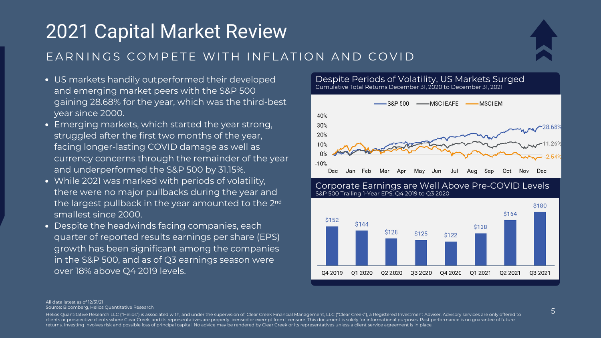# 2021 Capital Market Review EARNINGS COMPETE WITH INFLATION AND COVID



- US markets handily outperformed their developed and emerging market peers with the S&P 500 gaining 28.68% for the year, which was the third-best year since 2000.
- Emerging markets, which started the year strong, struggled after the first two months of the year, facing longer-lasting COVID damage as well as currency concerns through the remainder of the year and underperformed the S&P 500 by 31.15%.
- While 2021 was marked with periods of volatility, there were no major pullbacks during the year and the largest pullback in the year amounted to the 2<sup>nd</sup> smallest since 2000.
- Despite the headwinds facing companies, each quarter of reported results earnings per share (EPS) growth has been significant among the companies in the S&P 500, and as of Q3 earnings season were over 18% above Q4 2019 levels.

Despite Periods of Volatility, US Markets Surged Cumulative Total Returns December 31, 2020 to December 31, 2021



Corporate Earnings are Well Above Pre-COVID Levels S&P 500 Trailing 1-Year EPS, Q4 2019 to Q3 2020



All data latest as of 12/31/21 Source: Bloomberg, Helios Quantitative Research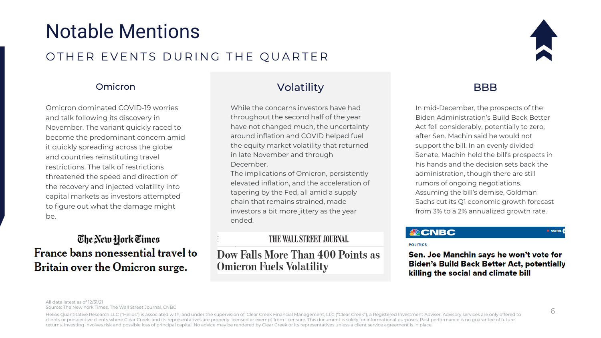# Notable Mentions

## OTHER EVENTS DURING THE QUARTER

### Omicron

Omicron dominated COVID-19 worries and talk following its discovery in November. The variant quickly raced to become the predominant concern amid it quickly spreading across the globe and countries reinstituting travel restrictions. The talk of restrictions threatened the speed and direction of the recovery and injected volatility into capital markets as investors attempted to figure out what the damage might be.

## The New Hork Times France bans nonessential travel to Britain over the Omicron surge.

## Volatility BBB

While the concerns investors have had throughout the second half of the year have not changed much, the uncertainty around inflation and COVID helped fuel the equity market volatility that returned in late November and through December.

The implications of Omicron, persistently elevated inflation, and the acceleration of tapering by the Fed, all amid a supply chain that remains strained, made investors a bit more jittery as the year ended.

#### THE WALL STREET JOURNAL

### Dow Falls More Than 400 Points as **Omicron Fuels Volatility**



In mid-December, the prospects of the Biden Administration's Build Back Better Act fell considerably, potentially to zero, after Sen. Machin said he would not support the bill. In an evenly divided Senate, Machin held the bill's prospects in his hands and the decision sets back the administration, though there are still rumors of ongoing negotiations. Assuming the bill's demise, Goldman Sachs cut its Q1 economic growth forecast from 3% to a 2% annualized growth rate.

#### **SACNBC**

**POLITICS** 

Sen. Joe Manchin says he won't vote for **Biden's Build Back Better Act, potentially** killing the social and climate bill

All data latest as of 12/31/21

Source: The New York Times, The Wall Street Journal, CNBC

Helios Quantitative Research LLC ("Helios") is associated with, and under the supervision of, Clear Creek Financial Management, LLC ("Clear Creek"), a Registered Investment Adviser. Advisory services are only offered to clients or prospective clients where Clear Creek, and its representatives are properly licensed or exempt from licensure. This document is solely for informational purposes. Past performance is no guarantee of future returns. Investing involves risk and possible loss of principal capital. No advice may be rendered by Clear Creek or its representatives unless a client service agreement is in place.

**O** WATCH<sup>I</sup>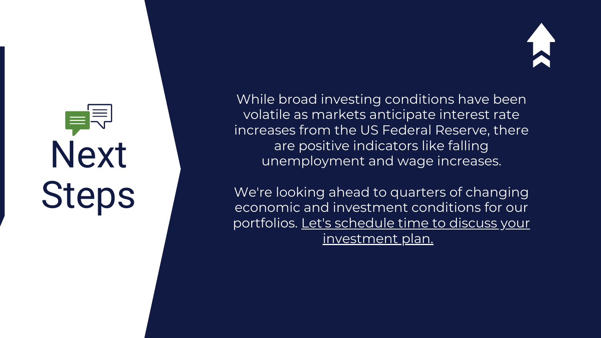# Next Steps

While broad investing conditions have been volatile as markets anticipate interest rate increases from the US Federal Reserve, ther e a r e p o sitiv e in dic a t o r s lik e f allin g unemployment and wage increases.

We're looking ahead to quarters of changin g economic and investment conditions for our portfolios. Let's schedule time to discuss your [investment](https://calendly.com/jray_zenith/meeting?month=2022-01) plan.

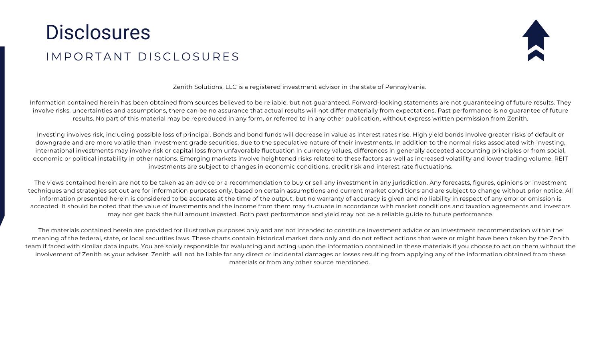# **Disclosures** I M P O R T A N T D I S C L O S U R E S



Zenith Solutions, LLC is a registered investment advisor in the state of Pennsylvania.

Information contained herein has been obtained from sources believed to be reliable, but not guaranteed. Forward-looking statements are not guaranteeing of future results. They involve risks, uncertainties and assumptions, there can be no assurance that actual results will not differ materially from expectations. Past performance is no guarantee of future results. No part of this material may be reproduced in any form, or referred to in any other publication, without express written permission from Zenith.

Investing involves risk, including possible loss of principal. Bonds and bond funds will decrease in value as interest rates rise. High yield bonds involve greater risks of default or downgrade and are more volatile than investment grade securities, due to the speculative nature of their investments. In addition to the normal risks associated with investing, international investments may involve risk or capital loss from unfavorable fluctuation in currency values, differences in generally accepted accounting principles or from social, economic or political instability in other nations. Emerging markets involve heightened risks related to these factors as well as increased volatility and lower trading volume. REIT investments are subject to changes in economic conditions, credit risk and interest rate fluctuations.

The views contained herein are not to be taken as an advice or a recommendation to buy or sell any investment in any jurisdiction. Any forecasts, figures, opinions or investment techniques and strategies set out are for information purposes only, based on certain assumptions and current market conditions and are subject to change without prior notice. All information presented herein is considered to be accurate at the time of the output, but no warranty of accuracy is given and no liability in respect of any error or omission is accepted. It should be noted that the value of investments and the income from them may fluctuate in accordance with market conditions and taxation agreements and investors may not get back the full amount invested. Both past performance and yield may not be a reliable guide to future performance.

The materials contained herein are provided for illustrative purposes only and are not intended to constitute investment advice or an investment recommendation within the meaning of the federal, state, or local securities laws. These charts contain historical market data only and do not reflect actions that were or might have been taken by the Zenith team if faced with similar data inputs. You are solely responsible for evaluating and acting upon the information contained in these materials if you choose to act on them without the involvement of Zenith as your adviser. Zenith will not be liable for any direct or incidental damages or losses resulting from applying any of the information obtained from these materials or from any other source mentioned.